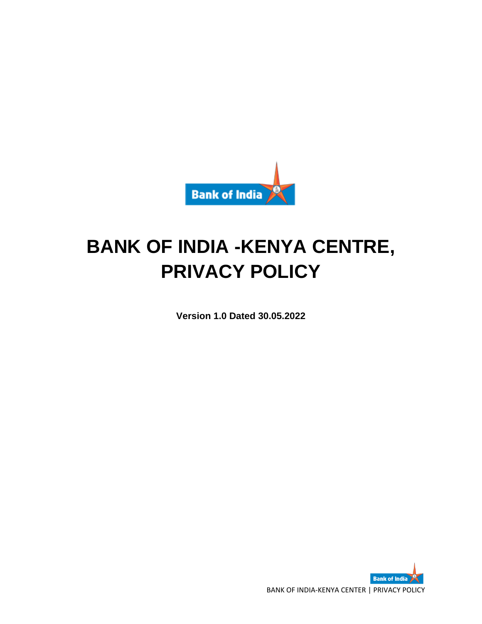

# **BANK OF INDIA -KENYA CENTRE, PRIVACY POLICY**

**Version 1.0 Dated 30.05.2022**

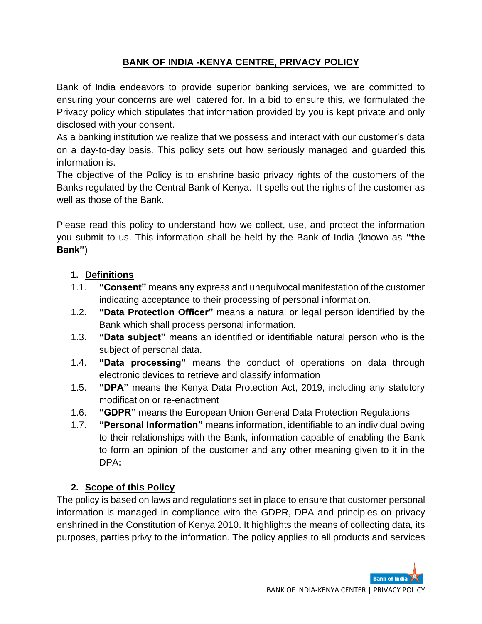## **BANK OF INDIA -KENYA CENTRE, PRIVACY POLICY**

Bank of India endeavors to provide superior banking services, we are committed to ensuring your concerns are well catered for. In a bid to ensure this, we formulated the Privacy policy which stipulates that information provided by you is kept private and only disclosed with your consent.

As a banking institution we realize that we possess and interact with our customer's data on a day-to-day basis. This policy sets out how seriously managed and guarded this information is.

The objective of the Policy is to enshrine basic privacy rights of the customers of the Banks regulated by the Central Bank of Kenya. It spells out the rights of the customer as well as those of the Bank.

Please read this policy to understand how we collect, use, and protect the information you submit to us. This information shall be held by the Bank of India (known as **"the Bank"**)

#### **1. Definitions**

- 1.1. **"Consent"** means any express and unequivocal manifestation of the customer indicating acceptance to their processing of personal information.
- 1.2. **"Data Protection Officer"** means a natural or legal person identified by the Bank which shall process personal information.
- 1.3. **"Data subject"** means an identified or identifiable natural person who is the subject of personal data.
- 1.4. **"Data processing"** means the conduct of operations on data through electronic devices to retrieve and classify information
- 1.5. **"DPA"** means the Kenya Data Protection Act, 2019, including any statutory modification or re-enactment
- 1.6. **"GDPR"** means the European Union General Data Protection Regulations
- 1.7. **"Personal Information"** means information, identifiable to an individual owing to their relationships with the Bank, information capable of enabling the Bank to form an opinion of the customer and any other meaning given to it in the DPA**:**

#### **2. Scope of this Policy**

The policy is based on laws and regulations set in place to ensure that customer personal information is managed in compliance with the GDPR, DPA and principles on privacy enshrined in the Constitution of Kenya 2010. It highlights the means of collecting data, its purposes, parties privy to the information. The policy applies to all products and services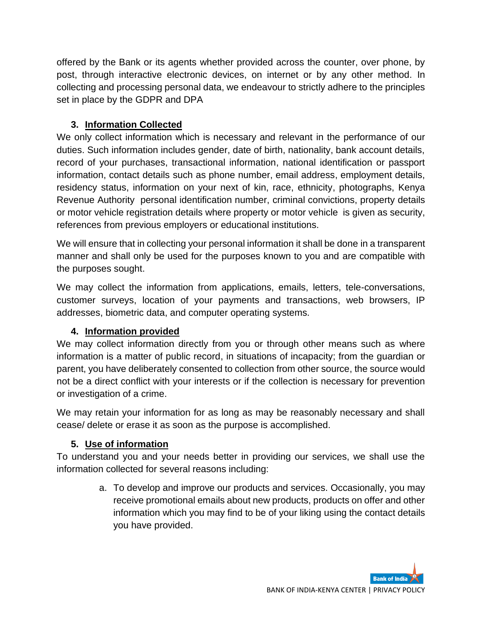offered by the Bank or its agents whether provided across the counter, over phone, by post, through interactive electronic devices, on internet or by any other method. In collecting and processing personal data, we endeavour to strictly adhere to the principles set in place by the GDPR and DPA

## **3. Information Collected**

We only collect information which is necessary and relevant in the performance of our duties. Such information includes gender, date of birth, nationality, bank account details, record of your purchases, transactional information, national identification or passport information, contact details such as phone number, email address, employment details, residency status, information on your next of kin, race, ethnicity, photographs, Kenya Revenue Authority personal identification number, criminal convictions, property details or motor vehicle registration details where property or motor vehicle is given as security, references from previous employers or educational institutions.

We will ensure that in collecting your personal information it shall be done in a transparent manner and shall only be used for the purposes known to you and are compatible with the purposes sought.

We may collect the information from applications, emails, letters, tele-conversations, customer surveys, location of your payments and transactions, web browsers, IP addresses, biometric data, and computer operating systems.

### **4. Information provided**

We may collect information directly from you or through other means such as where information is a matter of public record, in situations of incapacity; from the guardian or parent, you have deliberately consented to collection from other source, the source would not be a direct conflict with your interests or if the collection is necessary for prevention or investigation of a crime.

We may retain your information for as long as may be reasonably necessary and shall cease/ delete or erase it as soon as the purpose is accomplished.

### **5. Use of information**

To understand you and your needs better in providing our services, we shall use the information collected for several reasons including:

> a. To develop and improve our products and services. Occasionally, you may receive promotional emails about new products, products on offer and other information which you may find to be of your liking using the contact details you have provided.

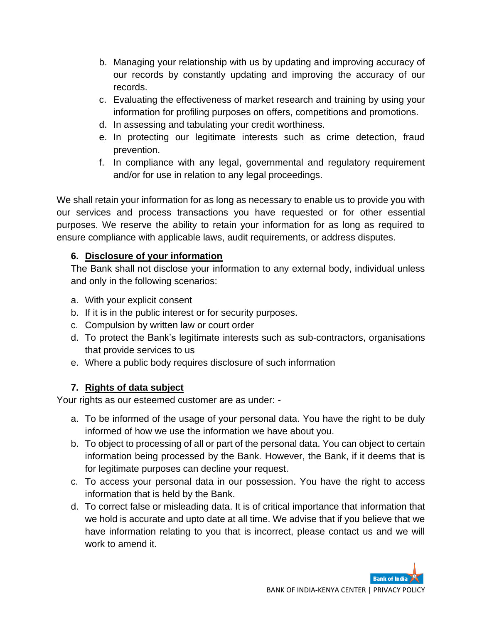- b. Managing your relationship with us by updating and improving accuracy of our records by constantly updating and improving the accuracy of our records.
- c. Evaluating the effectiveness of market research and training by using your information for profiling purposes on offers, competitions and promotions.
- d. In assessing and tabulating your credit worthiness.
- e. In protecting our legitimate interests such as crime detection, fraud prevention.
- f. In compliance with any legal, governmental and regulatory requirement and/or for use in relation to any legal proceedings.

We shall retain your information for as long as necessary to enable us to provide you with our services and process transactions you have requested or for other essential purposes. We reserve the ability to retain your information for as long as required to ensure compliance with applicable laws, audit requirements, or address disputes.

### **6. Disclosure of your information**

The Bank shall not disclose your information to any external body, individual unless and only in the following scenarios:

- a. With your explicit consent
- b. If it is in the public interest or for security purposes.
- c. Compulsion by written law or court order
- d. To protect the Bank's legitimate interests such as sub-contractors, organisations that provide services to us
- e. Where a public body requires disclosure of such information

## **7. Rights of data subject**

Your rights as our esteemed customer are as under: -

- a. To be informed of the usage of your personal data. You have the right to be duly informed of how we use the information we have about you.
- b. To object to processing of all or part of the personal data. You can object to certain information being processed by the Bank. However, the Bank, if it deems that is for legitimate purposes can decline your request.
- c. To access your personal data in our possession. You have the right to access information that is held by the Bank.
- d. To correct false or misleading data. It is of critical importance that information that we hold is accurate and upto date at all time. We advise that if you believe that we have information relating to you that is incorrect, please contact us and we will work to amend it.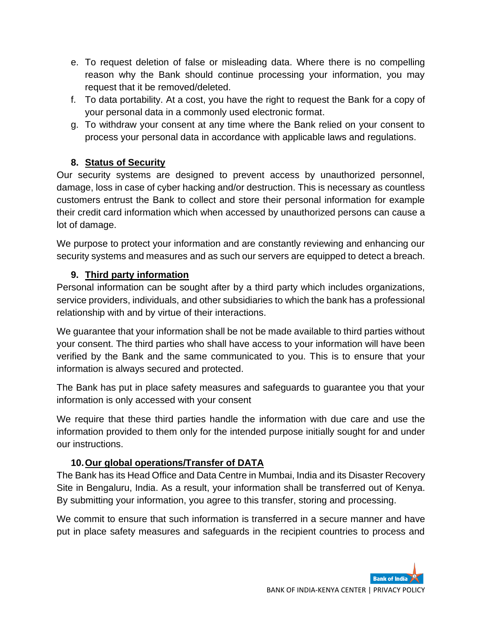- e. To request deletion of false or misleading data. Where there is no compelling reason why the Bank should continue processing your information, you may request that it be removed/deleted.
- f. To data portability. At a cost, you have the right to request the Bank for a copy of your personal data in a commonly used electronic format.
- g. To withdraw your consent at any time where the Bank relied on your consent to process your personal data in accordance with applicable laws and regulations.

## **8. Status of Security**

Our security systems are designed to prevent access by unauthorized personnel, damage, loss in case of cyber hacking and/or destruction. This is necessary as countless customers entrust the Bank to collect and store their personal information for example their credit card information which when accessed by unauthorized persons can cause a lot of damage.

We purpose to protect your information and are constantly reviewing and enhancing our security systems and measures and as such our servers are equipped to detect a breach.

### **9. Third party information**

Personal information can be sought after by a third party which includes organizations, service providers, individuals, and other subsidiaries to which the bank has a professional relationship with and by virtue of their interactions.

We guarantee that your information shall be not be made available to third parties without your consent. The third parties who shall have access to your information will have been verified by the Bank and the same communicated to you. This is to ensure that your information is always secured and protected.

The Bank has put in place safety measures and safeguards to guarantee you that your information is only accessed with your consent

We require that these third parties handle the information with due care and use the information provided to them only for the intended purpose initially sought for and under our instructions.

## **10.Our global operations/Transfer of DATA**

The Bank has its Head Office and Data Centre in Mumbai, India and its Disaster Recovery Site in Bengaluru, India. As a result, your information shall be transferred out of Kenya. By submitting your information, you agree to this transfer, storing and processing.

We commit to ensure that such information is transferred in a secure manner and have put in place safety measures and safeguards in the recipient countries to process and